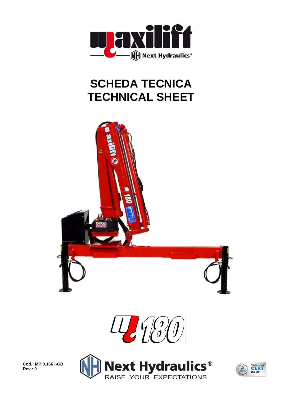

## **SCHEDA TECNICA TECHNICAL SHEET**





**Cod.: MP.0.166 I-GB Rev.: 0** 



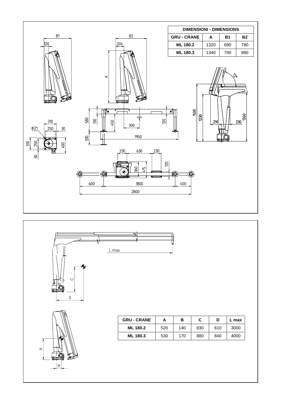





| <b>GRU - CRANE</b> |     | в   | C   |     | L max |
|--------------------|-----|-----|-----|-----|-------|
| ML 180.2           | 520 | 140 | 830 | 610 | 3000  |
| <b>ML 180.3</b>    | 530 | 170 | 880 | 840 | 4000  |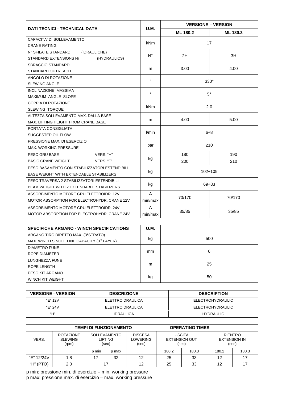|                                                  |             | <b>VERSIONE - VERSION</b> |          |  |  |
|--------------------------------------------------|-------------|---------------------------|----------|--|--|
| <b>DATI TECNICI - TECHNICAL DATA</b>             | <b>U.M.</b> | ML 180.2                  | ML 180.3 |  |  |
| CAPACITA' DI SOLLEVAMENTO                        | <b>kNm</b>  |                           |          |  |  |
| <b>CRANE RATING</b>                              |             | 17                        |          |  |  |
| N° SFILATE STANDARD<br>(IDRAULICHE)              | $N^{\circ}$ |                           | 3H       |  |  |
| STANDARD EXTENSIONS Nr<br>(HYDRAULICS)           |             | 2H                        |          |  |  |
| <b>SBRACCIO STANDARD</b>                         |             |                           |          |  |  |
| STANDARD OUTREACH                                | m           | 3.00                      | 4.00     |  |  |
| ANGOLO DI ROTAZIONE                              | $\circ$     | $330^\circ$               |          |  |  |
| <b>SLEWING ANGLE</b>                             |             |                           |          |  |  |
| INCLINAZIONE MASSIMA                             | $\circ$     | $5^\circ$                 |          |  |  |
| MAXIMUM ANGLE SLOPE                              |             |                           |          |  |  |
| COPPIA DI ROTAZIONE                              | <b>kNm</b>  |                           |          |  |  |
| <b>SLEWING TORQUE</b>                            |             | 2.0                       |          |  |  |
| ALTEZZA SOLLEVAMENTO MAX. DALLA BASE             | m           | 4.00                      | 5.00     |  |  |
| MAX. LIFTING HEIGHT FROM CRANE BASE              |             |                           |          |  |  |
| PORTATA CONSIGLIATA                              | l/min       | $6\div 8$                 |          |  |  |
| SUGGESTED OIL FLOW                               |             |                           |          |  |  |
| PRESSIONE MAX. DI ESERCIZIO                      | bar         | 210                       |          |  |  |
| <b>MAX. WORKING PRESSURE</b>                     |             |                           |          |  |  |
| PESO GRU BASE<br>VERS. "H"                       |             | 180                       | 190      |  |  |
| <b>BASIC CRANE WEIGHT</b><br>VERS. "E"           | kg          | 200                       | 210      |  |  |
| PESO BASAMENTO CON STABILIZZATORI ESTENDIBILI    | kg          | $102 \div 109$            |          |  |  |
| BASE WEIGHT WITH EXTENDABLE STABILIZERS          |             |                           |          |  |  |
| PESO TRAVERSA 2 STABILIZZATORI ESTENDIBILI       |             | $69 \div 83$              |          |  |  |
| <b>BEAM WEIGHT WITH 2 EXTENDABLE STABILIZERS</b> | kg          |                           |          |  |  |
| ASSORBIMENTO MOTORE GRU ELETTROIDR. 12V          | A           |                           |          |  |  |
| MOTOR ABSORPTION FOR ELECTROHYDR, CRANE 12V      | min/max     | 70/170                    | 70/170   |  |  |
| ASSORBIMENTO MOTORE GRU ELETTROIDR. 24V          | A           |                           |          |  |  |
| MOTOR ABSORPTION FOR ELECTROHYDR. CRANE 24V      | min/max     | 35/85                     | 35/85    |  |  |

| <b>SPECIFICHE ARGANO - WINCH SPECIFICATIONS</b>         | <b>U.M.</b>   |     |  |  |
|---------------------------------------------------------|---------------|-----|--|--|
| ARGANO TIRO DIRETTO MAX. (3°STRATO)                     | kg            |     |  |  |
| MAX. WINCH SINGLE LINE CAPACITY (3 <sup>rd</sup> LAYER) |               | 500 |  |  |
| <b>DIAMETRO FUNE</b>                                    |               |     |  |  |
| ROPE DIAMETER                                           | <sub>mm</sub> | 6   |  |  |
| LUNGHEZZA FUNE                                          |               |     |  |  |
| ROPE LENGTH                                             | m             | 25  |  |  |
| PESO KIT ARGANO                                         |               |     |  |  |
| WINCH KIT WEIGHT                                        | kg            | 50  |  |  |

| <b>VERSIONE - VERSION</b> | <b>DESCRIZIONE</b> | <b>DESCRIPTION</b>      |
|---------------------------|--------------------|-------------------------|
| "E" 12V                   | ELETTROIDRAULICA   | <b>ELECTROHYDRAULIC</b> |
| "F" 24V                   | ELETTROIDRAULICA   | ELECTROHYDRAULIC        |
| "Н"                       | <b>IDRAULICA</b>   | <b>HYDRAULIC</b>        |

| TEMPI DI FUNZIONAMENTO |                                             |                                         |       | <b>OPERATING TIMES</b>                     |                                                |       |                                                |       |
|------------------------|---------------------------------------------|-----------------------------------------|-------|--------------------------------------------|------------------------------------------------|-------|------------------------------------------------|-------|
| VERS.                  | <b>ROTAZIONE</b><br><b>SLEWING</b><br>(rpm) | <b>SOLLEVAMENTO</b><br>LIFTING<br>(sec) |       | <b>DISCESA</b><br><b>LOWERING</b><br>(sec) | <b>USCITA</b><br><b>EXTENSION OUT</b><br>(sec) |       | <b>RIENTRO</b><br><b>EXTENSION IN</b><br>(sec) |       |
|                        |                                             | p min                                   | p max |                                            | 180.2                                          | 180.3 | 180.2                                          | 180.3 |
| "E" 12/24V             | 1.8                                         | 17                                      | 32    | 12                                         | 25                                             | 33    | 12                                             |       |
| "H" (PTO)              | 2.0                                         |                                         |       |                                            | 25                                             | 33    | 12                                             |       |

p min: pressione min. di esercizio – min. working pressure p max: pressione max. di esercizio – max. working pressure